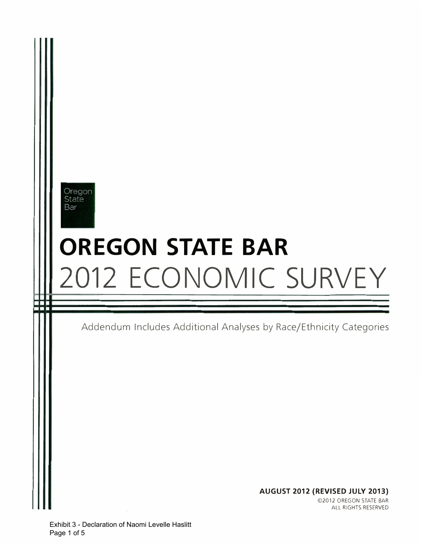## Oregon State Bar

# OREGON STATE BAR 2012 ECONOMIC SURVEY

Addendum Includes Additional Analyses by Race/Ethnicity Categories

AUGUST 2012 (REVISED JULY 2013) ©2012 OREGON STATE BAR ALL RIGHTS RESERVED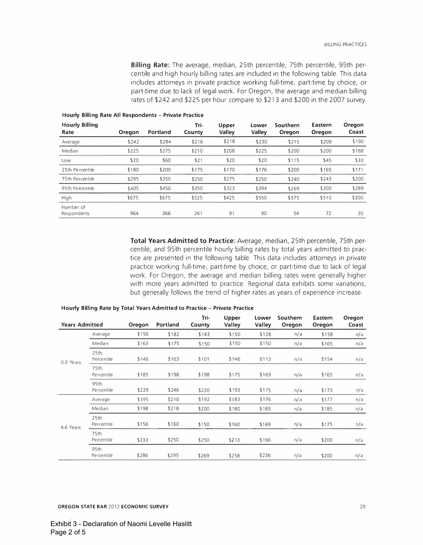Billing Rate: The average, median, 25th percentile, 75th percentile, 95th percentile and high hourly billing rates are included in the following table. This data includes attorneys in private practice working full-time, part-time by choice, or part-time due to lack of legal work. For Oregon, the average and median billing rates of \$242 and \$225 per hour compare to \$213 and \$200 in the 2007 survey.

| <b>Hourly Billing</b><br>Rate | Oregon | Portland | Tri-<br>County | <b>Upper</b><br>Valley | Lower<br>Valley | Southern<br>Oregon | Eastern<br>Oregon | Oregon<br>Coast |
|-------------------------------|--------|----------|----------------|------------------------|-----------------|--------------------|-------------------|-----------------|
| Average                       | \$242  | \$284    | \$216          | \$218                  | \$230           | \$215              | \$209             | \$190           |
| Median                        | \$225  | \$275    | \$210          | \$208                  | \$225           | \$200              | \$200             | \$188           |
| Low                           | \$20   | \$60     | \$21           | \$20                   | \$20            | \$115              | \$45              | \$33            |
| 25th Percentile               | \$180  | \$200    | \$175          | \$170                  | \$176           | \$200              | \$165             | \$171           |
| 75th Percentile               | \$295  | \$350    | \$250          | \$275                  | \$250           | \$240              | \$243             | \$200           |
| 95th Percentile               | \$405  | \$450    | \$350          | \$323                  | \$394           | \$269              | \$300             | \$289           |
| High                          | \$675  | \$675    | \$525          | \$425                  | \$550           | \$375              | \$510             | \$300           |
| Number of<br>Respondents      | 964    | 366      | 261            | 91                     | 90              | 54                 | 72                | 30              |

Hourly Billing Rate All Respondents - Private Practice

Total Years Admitted to Practice: Average, median, 25th percentile, 75th percentile, and 95th percentile hourly billing rates by total years admitted to practice are presented in the following table. This data includes attorneys in private practice working full-time, part-time by choice, or part-time due to lack of legal work. For Oregon, the average and median billing rates were generally higher with more years admitted to practice. Regional data exhibits some variations, but generally follows the trend of higher rates as years of experience increase.

| <b>Years Admitted</b> |                    | Oregon | Portland | Tri-<br>County | Upper<br>Valley | Lower<br>Valley | Southern<br>Oregon | Eastern<br>Oregon | Oregon<br>Coast |
|-----------------------|--------------------|--------|----------|----------------|-----------------|-----------------|--------------------|-------------------|-----------------|
|                       | Average            | \$156  | \$182    | \$143          | \$150           | \$128           | n/a                | \$158             | n/a             |
|                       | Median             | \$163  | \$175    | \$150          | \$150           | \$150           | n/a                | \$165             | n/a             |
| 0-3 Years             | 25th<br>Percentile | \$146  | \$163    | \$101          | \$146           | \$113           | n/a                | \$154             | n/a             |
|                       | 75th<br>Percentile | \$185  | \$198    | \$198          | \$175           | \$169           | n/a                | \$165             | n/a             |
|                       | 95th<br>Percentile | \$229  | \$246    | \$220          | \$193           | \$175           | n/a                | \$173             | n/a             |
|                       | Average            | \$195  | \$210    | \$192          | \$183           | \$176           | n/a                | \$177             | n/a             |
|                       | Median             | \$198  | \$218    | \$200          | \$180           | \$183           | n/a                | \$185             | n/a             |
| 4-6 Years             | 25th<br>Percentile | \$156  | \$160    | \$150          | \$160           | \$169           | n/a                | \$175             | n/a             |
|                       | 75th<br>Percentile | \$233  | \$250    | \$250          | \$213           | \$196           | n/a                | \$200             | n/a             |
|                       | 95th<br>Percentile | \$286  | \$295    | \$269          | \$258           | \$236           | n/a                | \$200             | n/a             |

#### Hourly Billing Rate by Total Years Admitted to Practice - Private Practice

OREGON STATE BAR 2012 ECONOMIC SURVEY 29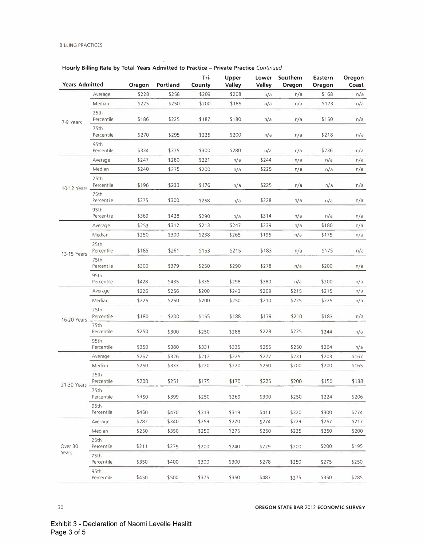## Hourly Billing Rate by Total Years Admitted to Practice - Private Practice Continued

| <b>Years Admitted</b> |                    | Oregon | Portland | Tri-<br>County | Upper<br><b>Valley</b> | Lower<br>Valley | Southern<br>Oregon | Eastern<br>Oregon | Oregon<br>Coast |
|-----------------------|--------------------|--------|----------|----------------|------------------------|-----------------|--------------------|-------------------|-----------------|
|                       | Average            | \$228  | \$258    | \$209          | \$208                  | n/a             | n/a                | \$168             | n/a             |
|                       | Median             | \$225  | \$250    | \$200          | \$185                  | n/a             | n/a                | \$173             | n/a             |
| 7-9 Years             | 25th<br>Percentile | \$186  | \$225    | \$187          | \$180                  | n/a             | n/a                | \$150             | n/a             |
|                       | 75th<br>Percentile | \$270  | \$295    | \$225          | \$200                  | n/a             | n/a                | \$218             | n/a             |
|                       | 95th<br>Percentile | \$334  | \$375    | \$300          | \$280                  | n/a             | n/a                | \$236             | n/a             |
|                       | Average            | \$247  | \$280    | \$221          | n/a                    | \$244           | n/a                | n/a               | n/a             |
|                       | Median             | \$240  | \$275    | \$200          | n/a                    | \$225           | n/a                | n/a               | n/a             |
| 10-12 Years           | 25th<br>Percentile | \$196  | \$233    | \$176          | n/a                    | \$225           | n/a                | n/a               | n/a             |
|                       | 75th<br>Percentile | \$275  | \$300    | \$258          | n/a                    | \$228           | n/a                | n/a               | n/a             |
|                       | 95th<br>Percentile | \$369  | \$428    | \$290          | n/a                    | \$314           | n/a                | n/a               | n/a             |
|                       | Average            | \$253  | \$312    | \$213          | \$247                  | \$239           | n/a                | \$180             | n/a             |
|                       | Median             | \$250  | \$300    | \$238          | \$265                  | \$195           | n/a                | \$175             | n/a             |
| 13-15 Years           | 25th<br>Percentile | \$185  | \$261    | \$153          | \$215                  | \$183           | n/a                | \$175             | n/a             |
|                       | 75th<br>Percentile | \$300  | \$379    | \$250          | \$290                  | \$278           | n/a                | \$200             | n/a             |
|                       | 95th<br>Percentile | \$428  | \$435    | \$335          | \$298                  | \$380           | n/a                | \$200             | n/a             |
|                       | Average            | \$226  | \$256    | \$200          | \$243                  | \$209           | \$215              | \$215             | n/a             |
|                       | Median             | \$225  | \$250    | \$200          | \$250                  | \$210           | \$225              | \$225             | n/a             |
| 16-20 Years           | 25th<br>Percentile | \$180  | \$200    | \$155          | \$188                  | \$179           | \$210              | \$183             | n/a             |
|                       | 75th<br>Percentile | \$250  | \$300    | \$250          | \$288                  | \$228           | \$225              | \$244             | n/a             |
|                       | 95th<br>Percentile | \$350  | \$380    | \$331          | \$335                  | \$255           | \$250              | \$264             | n/a             |
|                       | Average            | \$267  | \$326    | \$212          | \$225                  | \$277           | \$231              | \$203             | \$167           |
|                       | Median             | \$250  | \$333    | \$220          | \$220                  | \$250           | \$200              | \$200             | \$165           |
| 21-30 Years -         | 25th<br>Percentile | \$200  | \$251    | \$175          | \$170                  | \$225           | \$200              | \$150             | \$138           |
|                       | 75th<br>Percentile | \$350  | \$399    | \$250          | \$269                  | \$300           | \$250              | \$224             | \$206           |
|                       | 95th<br>Percentile | \$450  | \$470    | \$313          | \$319                  | \$411           | \$320              | \$300             | \$274           |
|                       | Average            | \$282  | \$340    | \$259          | \$270                  | \$274           | \$229              | \$257             | \$217           |
|                       | Median             | \$250  | \$350    | \$250          | \$275                  | \$250           | \$225              | \$250             | \$200           |
| Over 30               | 25th<br>Percentile | \$211  | \$275    | \$200          | \$240                  | \$229           | \$200              | \$200             | \$195           |
| Years                 | 75th<br>Percentile | \$350  | \$400    | \$300          | \$300                  | \$278           | \$250              | \$275             | \$250           |
|                       | 95th<br>Percentile | \$450  | \$500    | \$375          | \$350                  | \$487           | \$275              | \$350             | \$285           |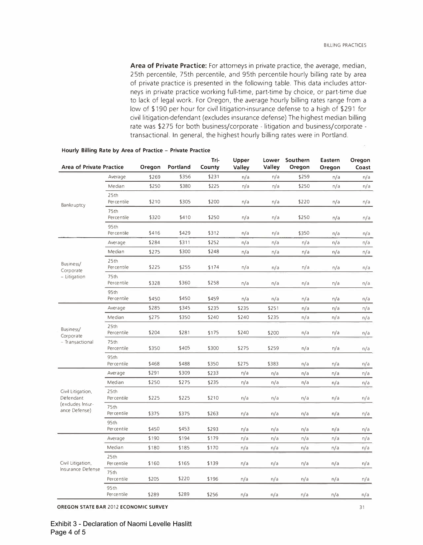Area of Private Practice: For attorneys in private practice, the average, median, 25th percentile, 75th percentile, and 95th percentile hourly billing rate by area of private practice is presented in the following table. This data includes attarneys in private practice working full-time, part-time by choice, or part-time due to lack of legal work. For Oregon, the average hourly billing rates range from a low of \$190 per hour for civil litigation-insurance defense to a high of \$291 for civil litigation-defendant (excludes insurance defense) The highest median billing rate was \$275 for both business/corporate - litigation and business/corporate transactional. In general, the highest hourly billing rates were in Portland.

| <b>Area of Private Practice</b>   |                           | Oregon | Portland | Tri-<br>County | Upper<br>Valley | Lower<br>Valley | Southern<br>Oregon | <b>Eastern</b><br>Oregon | Oregon<br>Coast |
|-----------------------------------|---------------------------|--------|----------|----------------|-----------------|-----------------|--------------------|--------------------------|-----------------|
|                                   | Average                   | \$269  | \$356    | \$231          | n/a             | n/a             | \$259              | n/a                      | n/a             |
| Bankruptcy                        | Median                    | \$250  | \$380    | \$225          | n/a             | n/a             | \$250              | n/a                      | n/a             |
|                                   | 25th<br>Percentile        | \$210  | \$305    | \$200          | n/a             | n/a             | \$220              | n/a                      | n/a             |
|                                   | 75th<br><b>Percentile</b> | \$320  | \$410    | \$250          | n/a             | n/a             | \$250              | n/a                      | n/a             |
|                                   | 95th<br>Percentile        | \$416  | \$429    | \$312          | n/a             | n/a             | \$350              | n/a                      | n/a             |
|                                   | Average                   | \$284  | \$311    | \$252          | n/a             | n/a             | n/a                | n/a                      | n/a             |
|                                   | Median                    | \$275  | \$300    | \$248          | n/a             | n/a             | n/a                | n/a                      | n/a             |
| Business/<br>Corporate            | 25th<br>Percentile        | \$225  | \$255    | \$174          | n/a             | n/a             | n/a                | n/a                      | n/a             |
| - Litigation                      | 75th<br>Percentile        | \$328  | \$360    | \$258          | n/a             | n/a             | n/a                | n/a                      | n/a             |
|                                   | 95th<br>Percentile        | \$450  | \$450    | \$459          | n/a             | n/a             | n/a                | n/a                      | n/a             |
|                                   | Average                   | \$285  | \$345    | \$235          | \$235           | \$251           | n/a                | n/a                      | n/a             |
|                                   | Median                    | \$275  | \$350    | \$240          | \$240           | \$235           | n/a                | n/a                      | n/a             |
| Business/<br>Corporate            | 25th<br>Percentile        | \$204  | \$281    | \$175          | \$240           | \$200           | n/a                | n/a                      | n/a             |
| - Transactional                   | 75th<br>Percentile        | \$350  | \$405    | \$300          | \$275           | \$259           | n/a                | n/a                      | n/a             |
|                                   | 95th<br>Percentile        | \$468  | \$488    | \$350          | \$275           | \$383           | n/a                | n/a                      | n/a             |
|                                   | Average                   | \$291  | \$309    | \$233          | n/a             | n/a             | n/a                | n/a                      | n/a             |
|                                   | Median                    | \$250  | \$275    | \$235          | n/a             | n/a             | n/a                | n/a                      | n/a             |
| Civil Litigation,<br>Defendant    | 25th<br>Per centile       | \$225  | \$225    | \$210          | n/a             | n/a             | n/a                | n/a                      | n/a             |
| (excludes Insur-<br>ance Defense) | 75th<br>Percentile        | \$375  | \$375    | \$263          | n/a             | n/a             | n/a                | n/a                      | n/a             |
|                                   | 95th<br>Percentile        | \$450  | \$453    | \$293          | n/a             | n/a             | n/a                | n/a                      | n/a             |
|                                   | Average                   | \$190  | \$194    | \$179          | n/a             | n/a             | n/a                | n/a                      | n/a             |
|                                   | Median                    | \$180  | \$185    | \$170          | n/a             | n/a             | n/a                | n/a                      | n/a             |
| Civil Litigation,                 | 25th<br>Percentile        | \$160  | \$165    | \$139          | n/a             | n/a             | n/a                | n/a                      | n/a             |
| Insurance Defense                 | 75th<br>Percentile        | \$205  | \$220    | \$196          | n/a             | n/a             | n/a<br>n/a         | n/a                      |                 |
|                                   | 95th<br>Percentile        | \$289  | \$289    | \$256          | n/a             | n/a             | n/a                | n/a                      | n/a             |

#### Hourly Billing Rate by Area of Practice - Private Practice

OREGON STATE BAR 2012 ECONOMIC SURVEY 31